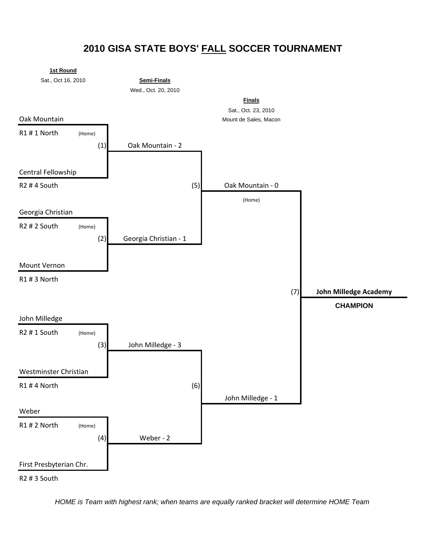## **2010 GISA STATE BOYS' FALL SOCCER TOURNAMENT**



*HOME is Team with highest rank; when teams are equally ranked bracket will determine HOME Team*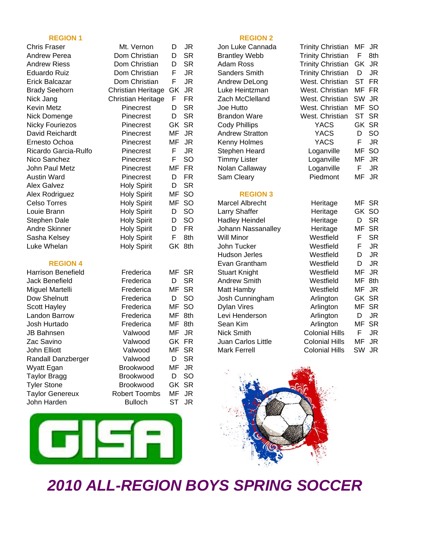Chris Fraser Mt. Vernon D JR Jon Luke Cannada Trinity Christian MF JR Andrew Perea **Dom Christian** D SR Brantley Webb Trinity Christian F 8th Andrew Riess **Dom Christian** D SR Adam Ross Trinity Christian GK JR Eduardo Ruiz Dom Christian F JR Sanders Smith Trinity Christian D JR Erick Balcazar Dom Christian F JR Andrew DeLong West. Christian ST FR Brady Seehorn Christian Heritage GK JR Luke Heintzman West. Christian MF FR Nick Jang Christian Heritage F FR Zach McClelland West. Christian SW JR Kevin Metz Pinecrest D SR Joe Hutto West. Christian MF SO Nick Domenge Pinecrest D SR Brandon Ware West. Christian ST SR Nicky Fouriezos Pinecrest GK SR Cody Phillips YACS GK SR David Reichardt Pinecrest MF JR Andrew Stratton YACS D SO Ernesto Ochoa Pinecrest MF JR Kenny Holmes YACS F JR Ricardo Garcia-Rulfo Pinecrest F JR Stephen Heard Loganville MF SO Nico Sanchez Pinecrest F SO Timmy Lister Loganville MF JR John Paul Metz **Pinecrest** MF FR Nolan Callaway **Loganville** F JR Austin Ward Pinecrest D FR Sam Cleary Piedmont MF JR Alex Galvez **Holy Spirit** D SR Alex Rodriguez Holy Spirit MF SO **REGION 3** Celso Torres **Holy Spirit** MF SO Stephen Dale Holy Spirit D SO Andre Skinner Holy Spirit D FR Sasha Kelsey **Holy Spirit** F 8th

| Harrison Benefield     | Frederica            | MF    | SR  |
|------------------------|----------------------|-------|-----|
| Jack Benefield         | Frederica            | D     | SR  |
| Miguel Martelli        | Frederica            | MF    | SR  |
| Dow Shelnutt           | Frederica            | D     | SO  |
| Scott Hayley           | Frederica            | MF.   | SO  |
| Landon Barrow          | Frederica            | MF    | 8th |
| Josh Hurtado           | Frederica            | MF.   | 8th |
| JB Bahnsen             | Valwood              | MF    | JR. |
| Zac Savino             | Valwood              | GK FR |     |
| John Elliott           | Valwood              | MF.   | SR  |
| Randall Danzberger     | Valwood              | D     | SR  |
| Wyatt Egan             | Brookwood            | МF    | JR  |
| Taylor Bragg           | <b>Brookwood</b>     | D     | SO  |
| <b>Tyler Stone</b>     | <b>Brookwood</b>     | GK SR |     |
| <b>Taylor Genereux</b> | <b>Robert Toombs</b> | ΜF    | JR  |
| John Harden            | <b>Bulloch</b>       | ST    | JR  |
|                        |                      |       |     |



### **REGION 1 REGION 2**

| Celso Torres              | <b>Holy Spirit</b> | MF    | <b>SO</b> | Marcel Albrecht       | Heritage              |           | MF SR     |
|---------------------------|--------------------|-------|-----------|-----------------------|-----------------------|-----------|-----------|
| Louie Brann               | <b>Holy Spirit</b> | D     | <b>SO</b> | Larry Shaffer         | Heritage              | GK SO     |           |
| Stephen Dale              | <b>Holy Spirit</b> | D     | <b>SO</b> | <b>Hadley Heindel</b> | Heritage              | D         | <b>SR</b> |
| Andre Skinner             | <b>Holy Spirit</b> | D     | FR.       | Johann Nassanalley    | Heritage              | MF        | -SR       |
| Sasha Kelsey              | <b>Holy Spirit</b> | F     | 8th       | Will Minor            | Westfield             | F.        | <b>SR</b> |
| Luke Whelan               | <b>Holy Spirit</b> | GK.   | 8th       | John Tucker           | Westfield             | F.        | JR        |
|                           |                    |       |           | Hudson Jerles         | Westfield             | D         | JR        |
| <b>REGION 4</b>           |                    |       |           | Evan Grantham         | Westfield             | D         | JR        |
| <b>Harrison Benefield</b> | Frederica          | MF    | -SR       | <b>Stuart Knight</b>  | Westfield             | MF        | JR        |
| Jack Benefield            | Frederica          | D     | <b>SR</b> | Andrew Smith          | Westfield             | ΜF        | 8th       |
| Miguel Martelli           | Frederica          | MF SR |           | Matt Hamby            | Westfield             | MF        | JR        |
| Dow Shelnutt              | Frederica          | D     | <b>SO</b> | Josh Cunningham       | Arlington             | GK SR     |           |
| <b>Scott Hayley</b>       | Frederica          | MF SO |           | <b>Dylan Vires</b>    | Arlington             | MF SR     |           |
| Landon Barrow             | Frederica          | MF    | 8th       | Levi Henderson        | Arlington             | D         | JR        |
| Josh Hurtado              | Frederica          | MF    | 8th       | Sean Kim              | Arlington             |           | MF SR     |
| JB Bahnsen.               | Valwood            | MF    | JR.       | Nick Smith            | <b>Colonial Hills</b> | F.        | JR.       |
| Zac Savino                | Valwood            | GK FR |           | Juan Carlos Little    | <b>Colonial Hills</b> | ΜF        | JR        |
| John Elliott              | Valwood            | MF SR |           | <b>Mark Ferrell</b>   | <b>Colonial Hills</b> | <b>SW</b> | JR.       |



# *2010 ALL-REGION BOYS SPRING SOCCER*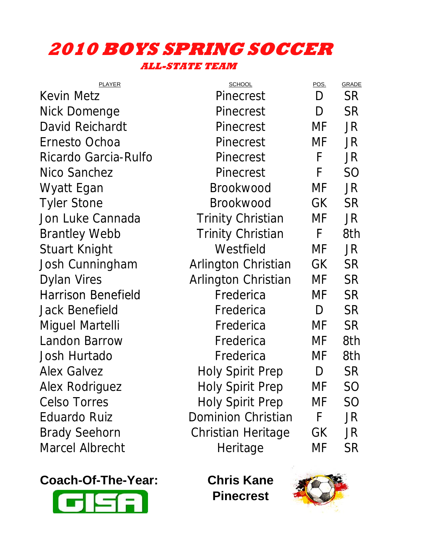## **2010 BOYS SPRING SOCCER ALL-STATE TEAM**

| <b>PLAYER</b>             | <b>SCHOOL</b>             | POS. | <b>GRADE</b>   |
|---------------------------|---------------------------|------|----------------|
| Kevin Metz                | <b>Pinecrest</b>          | D    | <b>SR</b>      |
| Nick Domenge              | <b>Pinecrest</b>          | D    | <b>SR</b>      |
| David Reichardt           | <b>Pinecrest</b>          | MF   | JR             |
| Ernesto Ochoa             | <b>Pinecrest</b>          | MF   | JR             |
| Ricardo Garcia-Rulfo      | <b>Pinecrest</b>          | F    | JR.            |
| Nico Sanchez              | <b>Pinecrest</b>          | F    | S <sub>O</sub> |
| Wyatt Egan                | <b>Brookwood</b>          | MF   | JR             |
| <b>Tyler Stone</b>        | <b>Brookwood</b>          | GK   | <b>SR</b>      |
| Jon Luke Cannada          | <b>Trinity Christian</b>  | MF   | JR             |
| <b>Brantley Webb</b>      | <b>Trinity Christian</b>  | F    | 8th            |
| Stuart Knight             | Westfield                 | MF   | JR.            |
| Josh Cunningham           | Arlington Christian       | GK   | <b>SR</b>      |
| <b>Dylan Vires</b>        | Arlington Christian       | MF   | <b>SR</b>      |
| <b>Harrison Benefield</b> | Frederica                 | MF   | <b>SR</b>      |
| Jack Benefield            | Frederica                 | D    | <b>SR</b>      |
| Miguel Martelli           | Frederica                 | MF   | <b>SR</b>      |
| <b>Landon Barrow</b>      | Frederica                 | MF   | 8th            |
| Josh Hurtado              | Frederica                 | MF   | 8th            |
| <b>Alex Galvez</b>        | <b>Holy Spirit Prep</b>   | D    | <b>SR</b>      |
| <b>Alex Rodriguez</b>     | <b>Holy Spirit Prep</b>   | МF   | SO             |
| <b>Celso Torres</b>       | <b>Holy Spirit Prep</b>   | MF   | SO             |
| <b>Eduardo Ruiz</b>       | <b>Dominion Christian</b> | F    | JR             |
| <b>Brady Seehorn</b>      | Christian Heritage        | GK   | JR.            |
| <b>Marcel Albrecht</b>    | Heritage                  | MF   | <b>SR</b>      |
|                           |                           |      |                |

**Coach-Of-The-Year: Chris Kane**



**Pinecrest**